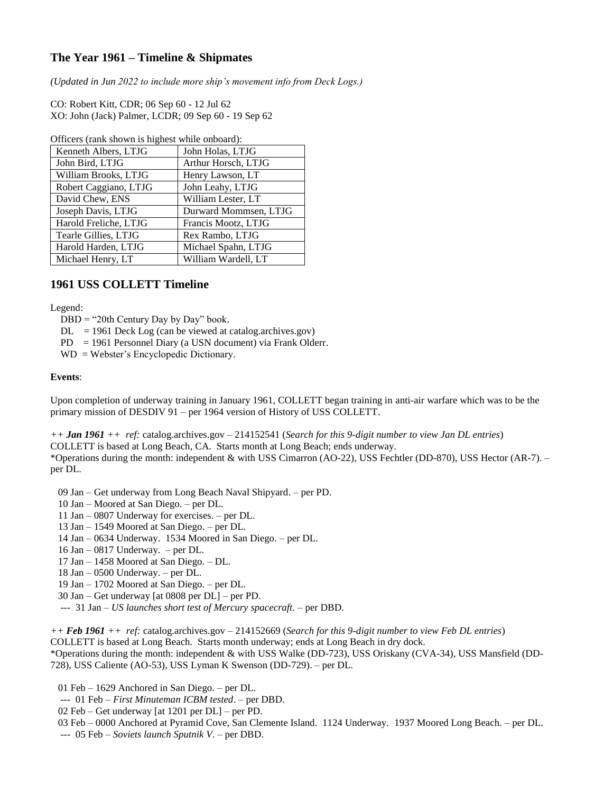# **The Year 1961 – Timeline & Shipmates**

*(Updated in Jun 2022 to include more ship's movement info from Deck Logs.)*

CO: Robert Kitt, CDR; 06 Sep 60 - 12 Jul 62 XO: John (Jack) Palmer, LCDR; 09 Sep 60 - 19 Sep 62

| OTTICLES (Talk SHOWH IS HIGHCST WHILE OHOOGIU). |                       |
|-------------------------------------------------|-----------------------|
| Kenneth Albers, LTJG                            | John Holas, LTJG      |
| John Bird, LTJG                                 | Arthur Horsch, LTJG   |
| William Brooks, LTJG                            | Henry Lawson, LT      |
| Robert Caggiano, LTJG                           | John Leahy, LTJG      |
| David Chew, ENS                                 | William Lester, LT    |
| Joseph Davis, LTJG                              | Durward Mommsen, LTJG |
| Harold Freliche, LTJG                           | Francis Mootz, LTJG   |
| Tearle Gillies, LTJG                            | Rex Rambo, LTJG       |
| Harold Harden, LTJG                             | Michael Spahn, LTJG   |
| Michael Henry, LT                               | William Wardell, LT   |
|                                                 |                       |

Officers (rank shown is highest while onboard):

### **1961 USS COLLETT Timeline**

#### Legend:

- $DBD = "20th Century Day by Day" book.$
- $DL = 1961$  Deck Log (can be viewed at catalog.archives.gov)
- PD = 1961 Personnel Diary (a USN document) via Frank Olderr.
- WD = Webster's Encyclopedic Dictionary.

#### **Events**:

Upon completion of underway training in January 1961, COLLETT began training in anti-air warfare which was to be the primary mission of DESDIV 91 – per 1964 version of History of USS COLLETT.

*++ Jan 1961 ++ ref:* catalog.archives.gov – 214152541 (*Search for this 9-digit number to view Jan DL entries*)

COLLETT is based at Long Beach, CA. Starts month at Long Beach; ends underway.

\*Operations during the month: independent & with USS Cimarron (AO-22), USS Fechtler (DD-870), USS Hector (AR-7). – per DL.

09 Jan – Get underway from Long Beach Naval Shipyard. – per PD.

- 10 Jan Moored at San Diego. per DL.
- 11 Jan 0807 Underway for exercises. per DL.
- 13 Jan 1549 Moored at San Diego. per DL.
- 14 Jan 0634 Underway. 1534 Moored in San Diego. per DL.
- 16 Jan 0817 Underway. per DL.
- 17 Jan 1458 Moored at San Diego. DL.
- 18 Jan 0500 Underway. per DL.
- 19 Jan 1702 Moored at San Diego. per DL.
- 30 Jan Get underway [at 0808 per DL] per PD.
- --- 31 Jan *US launches short test of Mercury spacecraft.* per DBD.

*++ Feb 1961 ++ ref:* catalog.archives.gov – 214152669 (*Search for this 9-digit number to view Feb DL entries*) COLLETT is based at Long Beach. Starts month underway; ends at Long Beach in dry dock. \*Operations during the month: independent & with USS Walke (DD-723), USS Oriskany (CVA-34), USS Mansfield (DD-

728), USS Caliente (AO-53), USS Lyman K Swenson (DD-729). – per DL.

01 Feb – 1629 Anchored in San Diego. – per DL.

- --- 01 Feb *First Minuteman ICBM tested*. per DBD.
- 02 Feb Get underway [at 1201 per DL] per PD.
- 03 Feb 0000 Anchored at Pyramid Cove, San Clemente Island. 1124 Underway. 1937 Moored Long Beach. per DL.
- --- 05 Feb *Soviets launch Sputnik V*. per DBD.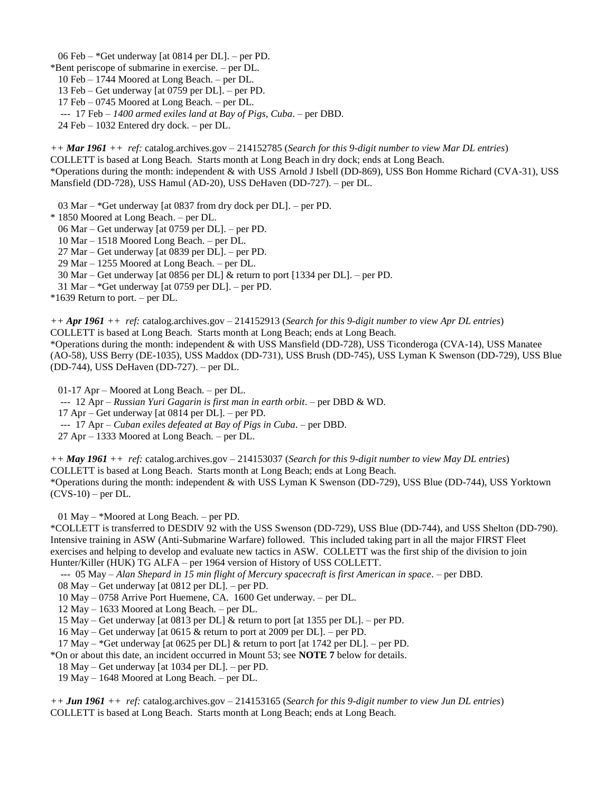06 Feb – \*Get underway [at 0814 per DL]. – per PD.

\*Bent periscope of submarine in exercise. – per DL.

10 Feb – 1744 Moored at Long Beach. – per DL.

13 Feb – Get underway [at 0759 per DL]. – per PD.

17 Feb – 0745 Moored at Long Beach. – per DL.

--- 17 Feb – *1400 armed exiles land at Bay of Pigs, Cuba*. – per DBD.

24 Feb – 1032 Entered dry dock. – per DL.

*++ Mar 1961 ++ ref:* catalog.archives.gov – 214152785 (*Search for this 9-digit number to view Mar DL entries*) COLLETT is based at Long Beach. Starts month at Long Beach in dry dock; ends at Long Beach. \*Operations during the month: independent & with USS Arnold J Isbell (DD-869), USS Bon Homme Richard (CVA-31), USS

Mansfield (DD-728), USS Hamul (AD-20), USS DeHaven (DD-727). – per DL.

03 Mar – \*Get underway [at 0837 from dry dock per DL]. – per PD.

\* 1850 Moored at Long Beach. – per DL.

06 Mar – Get underway [at 0759 per DL]. – per PD.

10 Mar – 1518 Moored Long Beach. – per DL.

27 Mar – Get underway [at 0839 per DL]. – per PD.

29 Mar – 1255 Moored at Long Beach. – per DL.

30 Mar – Get underway [at 0856 per DL] & return to port [1334 per DL]. – per PD.

31 Mar – \*Get underway [at 0759 per DL]. – per PD.

\*1639 Return to port. – per DL.

*++ Apr 1961 ++ ref:* catalog.archives.gov – 214152913 (*Search for this 9-digit number to view Apr DL entries*) COLLETT is based at Long Beach. Starts month at Long Beach; ends at Long Beach. \*Operations during the month: independent & with USS Mansfield (DD-728), USS Ticonderoga (CVA-14), USS Manatee

(AO-58), USS Berry (DE-1035), USS Maddox (DD-731), USS Brush (DD-745), USS Lyman K Swenson (DD-729), USS Blue (DD-744), USS DeHaven (DD-727). – per DL.

01-17 Apr – Moored at Long Beach. – per DL.

--- 12 Apr – *Russian Yuri Gagarin is first man in earth orbit*. – per DBD & WD.

17 Apr – Get underway [at 0814 per DL]. – per PD.

--- 17 Apr – *Cuban exiles defeated at Bay of Pigs in Cuba*. – per DBD.

27 Apr – 1333 Moored at Long Beach. – per DL.

*++ May 1961 ++ ref:* catalog.archives.gov – 214153037 (*Search for this 9-digit number to view May DL entries*) COLLETT is based at Long Beach. Starts month at Long Beach; ends at Long Beach. \*Operations during the month: independent & with USS Lyman K Swenson (DD-729), USS Blue (DD-744), USS Yorktown  $(CVS-10)$  – per DL.

01 May – \*Moored at Long Beach. – per PD.

\*COLLETT is transferred to DESDIV 92 with the USS Swenson (DD-729), USS Blue (DD-744), and USS Shelton (DD-790). Intensive training in ASW (Anti-Submarine Warfare) followed. This included taking part in all the major FIRST Fleet exercises and helping to develop and evaluate new tactics in ASW. COLLETT was the first ship of the division to join Hunter/Killer (HUK) TG ALFA – per 1964 version of History of USS COLLETT.

--- 05 May – *Alan Shepard in 15 min flight of Mercury spacecraft is first American in space*. – per DBD.

08 May – Get underway [at 0812 per DL]. – per PD.

10 May – 0758 Arrive Port Huemene, CA. 1600 Get underway. – per DL.

12 May – 1633 Moored at Long Beach. – per DL.

15 May – Get underway [at 0813 per DL] & return to port [at 1355 per DL]. – per PD.

16 May – Get underway [at 0615 & return to port at 2009 per DL]. – per PD.

17 May – \*Get underway [at 0625 per DL] & return to port [at 1742 per DL]. – per PD.

\*On or about this date, an incident occurred in Mount 53; see **NOTE 7** below for details.

18 May – Get underway [at 1034 per DL]. – per PD.

19 May – 1648 Moored at Long Beach. – per DL.

*++ Jun 1961 ++ ref:* catalog.archives.gov – 214153165 (*Search for this 9-digit number to view Jun DL entries*) COLLETT is based at Long Beach. Starts month at Long Beach; ends at Long Beach.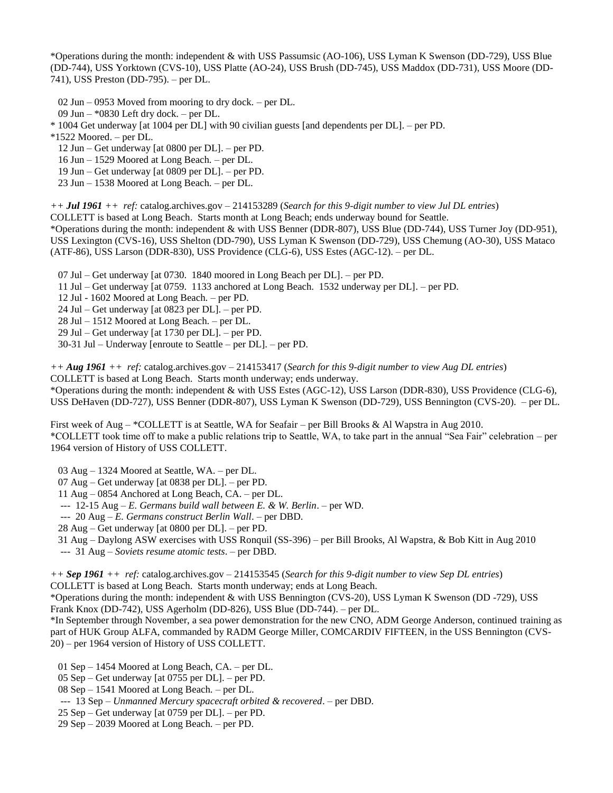\*Operations during the month: independent & with USS Passumsic (AO-106), USS Lyman K Swenson (DD-729), USS Blue (DD-744), USS Yorktown (CVS-10), USS Platte (AO-24), USS Brush (DD-745), USS Maddox (DD-731), USS Moore (DD-741), USS Preston (DD-795). – per DL.

02 Jun – 0953 Moved from mooring to dry dock. – per DL.

09 Jun – \*0830 Left dry dock. – per DL.

\* 1004 Get underway [at 1004 per DL] with 90 civilian guests [and dependents per DL]. – per PD.

\*1522 Moored. – per DL.

12 Jun – Get underway [at 0800 per DL]. – per PD.

16 Jun – 1529 Moored at Long Beach. – per DL.

19 Jun – Get underway [at 0809 per DL]. – per PD.

23 Jun – 1538 Moored at Long Beach. – per DL.

*++ Jul 1961 ++ ref:* catalog.archives.gov – 214153289 (*Search for this 9-digit number to view Jul DL entries*)

COLLETT is based at Long Beach. Starts month at Long Beach; ends underway bound for Seattle.

\*Operations during the month: independent & with USS Benner (DDR-807), USS Blue (DD-744), USS Turner Joy (DD-951), USS Lexington (CVS-16), USS Shelton (DD-790), USS Lyman K Swenson (DD-729), USS Chemung (AO-30), USS Mataco (ATF-86), USS Larson (DDR-830), USS Providence (CLG-6), USS Estes (AGC-12). – per DL.

07 Jul – Get underway [at 0730. 1840 moored in Long Beach per DL]. – per PD.

11 Jul – Get underway [at 0759. 1133 anchored at Long Beach. 1532 underway per DL]. – per PD.

12 Jul - 1602 Moored at Long Beach. – per PD.

24 Jul – Get underway [at 0823 per DL]. – per PD.

28 Jul – 1512 Moored at Long Beach. – per DL.

29 Jul – Get underway [at 1730 per DL]. – per PD.

30-31 Jul – Underway [enroute to Seattle – per DL]. – per PD.

*++ Aug 1961 ++ ref:* catalog.archives.gov – 214153417 (*Search for this 9-digit number to view Aug DL entries*) COLLETT is based at Long Beach. Starts month underway; ends underway.

\*Operations during the month: independent & with USS Estes (AGC-12), USS Larson (DDR-830), USS Providence (CLG-6), USS DeHaven (DD-727), USS Benner (DDR-807), USS Lyman K Swenson (DD-729), USS Bennington (CVS-20). – per DL.

First week of Aug – \*COLLETT is at Seattle, WA for Seafair – per Bill Brooks & Al Wapstra in Aug 2010. \*COLLETT took time off to make a public relations trip to Seattle, WA, to take part in the annual "Sea Fair" celebration – per 1964 version of History of USS COLLETT.

03 Aug – 1324 Moored at Seattle, WA. – per DL.

07 Aug – Get underway [at 0838 per DL]. – per PD.

11 Aug – 0854 Anchored at Long Beach, CA. – per DL.

--- 12-15 Aug – *E. Germans build wall between E. & W. Berlin*. – per WD.

--- 20 Aug – *E. Germans construct Berlin Wall*. – per DBD.

28 Aug – Get underway [at 0800 per DL]. – per PD.

31 Aug – Daylong ASW exercises with USS Ronquil (SS-396) – per Bill Brooks, Al Wapstra, & Bob Kitt in Aug 2010

--- 31 Aug – *Soviets resume atomic tests*. – per DBD.

*++ Sep 1961 ++ ref:* catalog.archives.gov – 214153545 (*Search for this 9-digit number to view Sep DL entries*) COLLETT is based at Long Beach. Starts month underway; ends at Long Beach.

\*Operations during the month: independent & with USS Bennington (CVS-20), USS Lyman K Swenson (DD -729), USS Frank Knox (DD-742), USS Agerholm (DD-826), USS Blue (DD-744). – per DL.

\*In September through November, a sea power demonstration for the new CNO, ADM George Anderson, continued training as part of HUK Group ALFA, commanded by RADM George Miller, COMCARDIV FIFTEEN, in the USS Bennington (CVS-20) – per 1964 version of History of USS COLLETT.

01 Sep – 1454 Moored at Long Beach, CA. – per DL.

05 Sep – Get underway [at 0755 per DL]. – per PD.

08 Sep – 1541 Moored at Long Beach. – per DL.

--- 13 Sep – *Unmanned Mercury spacecraft orbited & recovered*. – per DBD.

25 Sep – Get underway [at 0759 per DL]. – per PD.

29 Sep – 2039 Moored at Long Beach. – per PD.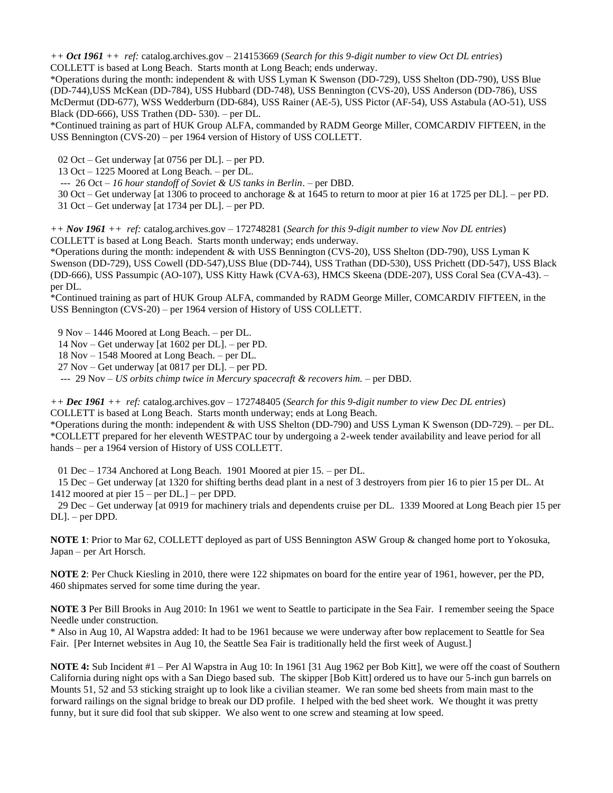*++ Oct 1961 ++ ref:* catalog.archives.gov – 214153669 (*Search for this 9-digit number to view Oct DL entries*) COLLETT is based at Long Beach. Starts month at Long Beach; ends underway.

\*Operations during the month: independent & with USS Lyman K Swenson (DD-729), USS Shelton (DD-790), USS Blue (DD-744),USS McKean (DD-784), USS Hubbard (DD-748), USS Bennington (CVS-20), USS Anderson (DD-786), USS McDermut (DD-677), WSS Wedderburn (DD-684), USS Rainer (AE-5), USS Pictor (AF-54), USS Astabula (AO-51), USS Black (DD-666), USS Trathen (DD- 530). – per DL.

\*Continued training as part of HUK Group ALFA, commanded by RADM George Miller, COMCARDIV FIFTEEN, in the USS Bennington (CVS-20) – per 1964 version of History of USS COLLETT.

02 Oct – Get underway [at 0756 per DL]. – per PD.

13 Oct – 1225 Moored at Long Beach. – per DL.

--- 26 Oct – *16 hour standoff of Soviet & US tanks in Berlin*. – per DBD.

 30 Oct – Get underway [at 1306 to proceed to anchorage & at 1645 to return to moor at pier 16 at 1725 per DL]. – per PD. 31 Oct – Get underway [at 1734 per DL]. – per PD.

*++ Nov 1961 ++ ref:* catalog.archives.gov – 172748281 (*Search for this 9-digit number to view Nov DL entries*) COLLETT is based at Long Beach. Starts month underway; ends underway.

\*Operations during the month: independent & with USS Bennington (CVS-20), USS Shelton (DD-790), USS Lyman K Swenson (DD-729), USS Cowell (DD-547),USS Blue (DD-744), USS Trathan (DD-530), USS Prichett (DD-547), USS Black (DD-666), USS Passumpic (AO-107), USS Kitty Hawk (CVA-63), HMCS Skeena (DDE-207), USS Coral Sea (CVA-43). – per DL.

\*Continued training as part of HUK Group ALFA, commanded by RADM George Miller, COMCARDIV FIFTEEN, in the USS Bennington (CVS-20) – per 1964 version of History of USS COLLETT.

9 Nov – 1446 Moored at Long Beach. – per DL.

14 Nov – Get underway [at 1602 per DL]. – per PD.

18 Nov – 1548 Moored at Long Beach. – per DL.

27 Nov – Get underway [at 0817 per DL]. – per PD.

--- 29 Nov – *US orbits chimp twice in Mercury spacecraft & recovers him.* – per DBD.

*++ Dec 1961 ++ ref:* catalog.archives.gov – 172748405 (*Search for this 9-digit number to view Dec DL entries*) COLLETT is based at Long Beach. Starts month underway; ends at Long Beach.

\*Operations during the month: independent & with USS Shelton (DD-790) and USS Lyman K Swenson (DD-729). – per DL. \*COLLETT prepared for her eleventh WESTPAC tour by undergoing a 2-week tender availability and leave period for all hands – per a 1964 version of History of USS COLLETT.

01 Dec – 1734 Anchored at Long Beach. 1901 Moored at pier 15. – per DL.

 15 Dec – Get underway [at 1320 for shifting berths dead plant in a nest of 3 destroyers from pier 16 to pier 15 per DL. At 1412 moored at pier 15 – per DL.] – per DPD.

 29 Dec – Get underway [at 0919 for machinery trials and dependents cruise per DL. 1339 Moored at Long Beach pier 15 per DL]. – per DPD.

**NOTE 1**: Prior to Mar 62, COLLETT deployed as part of USS Bennington ASW Group & changed home port to Yokosuka, Japan – per Art Horsch.

**NOTE 2**: Per Chuck Kiesling in 2010, there were 122 shipmates on board for the entire year of 1961, however, per the PD, 460 shipmates served for some time during the year.

**NOTE 3** Per Bill Brooks in Aug 2010: In 1961 we went to Seattle to participate in the Sea Fair. I remember seeing the Space Needle under construction.

\* Also in Aug 10, Al Wapstra added: It had to be 1961 because we were underway after bow replacement to Seattle for Sea Fair. [Per Internet websites in Aug 10, the Seattle Sea Fair is traditionally held the first week of August.]

**NOTE 4:** Sub Incident #1 – Per Al Wapstra in Aug 10: In 1961 [31 Aug 1962 per Bob Kitt], we were off the coast of Southern California during night ops with a San Diego based sub. The skipper [Bob Kitt] ordered us to have our 5-inch gun barrels on Mounts 51, 52 and 53 sticking straight up to look like a civilian steamer. We ran some bed sheets from main mast to the forward railings on the signal bridge to break our DD profile. I helped with the bed sheet work. We thought it was pretty funny, but it sure did fool that sub skipper. We also went to one screw and steaming at low speed.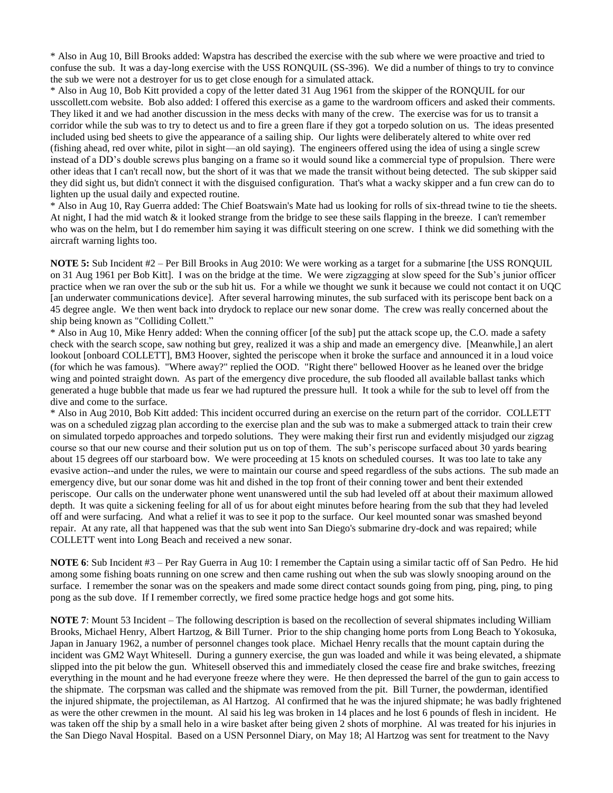\* Also in Aug 10, Bill Brooks added: Wapstra has described the exercise with the sub where we were proactive and tried to confuse the sub. It was a day-long exercise with the USS RONQUIL (SS-396). We did a number of things to try to convince the sub we were not a destroyer for us to get close enough for a simulated attack.

\* Also in Aug 10, Bob Kitt provided a copy of the letter dated 31 Aug 1961 from the skipper of the RONQUIL for our usscollett.com website. Bob also added: I offered this exercise as a game to the wardroom officers and asked their comments. They liked it and we had another discussion in the mess decks with many of the crew. The exercise was for us to transit a corridor while the sub was to try to detect us and to fire a green flare if they got a torpedo solution on us. The ideas presented included using bed sheets to give the appearance of a sailing ship. Our lights were deliberately altered to white over red (fishing ahead, red over white, pilot in sight—an old saying). The engineers offered using the idea of using a single screw instead of a DD's double screws plus banging on a frame so it would sound like a commercial type of propulsion. There were other ideas that I can't recall now, but the short of it was that we made the transit without being detected. The sub skipper said they did sight us, but didn't connect it with the disguised configuration. That's what a wacky skipper and a fun crew can do to lighten up the usual daily and expected routine.

\* Also in Aug 10, Ray Guerra added: The Chief Boatswain's Mate had us looking for rolls of six-thread twine to tie the sheets. At night, I had the mid watch  $\&$  it looked strange from the bridge to see these sails flapping in the breeze. I can't remember who was on the helm, but I do remember him saying it was difficult steering on one screw. I think we did something with the aircraft warning lights too.

**NOTE 5:** Sub Incident #2 – Per Bill Brooks in Aug 2010: We were working as a target for a submarine [the USS RONQUIL on 31 Aug 1961 per Bob Kitt]. I was on the bridge at the time. We were zigzagging at slow speed for the Sub's junior officer practice when we ran over the sub or the sub hit us. For a while we thought we sunk it because we could not contact it on UQC [an underwater communications device]. After several harrowing minutes, the sub surfaced with its periscope bent back on a 45 degree angle. We then went back into drydock to replace our new sonar dome. The crew was really concerned about the ship being known as "Colliding Collett."

\* Also in Aug 10, Mike Henry added: When the conning officer [of the sub] put the attack scope up, the C.O. made a safety check with the search scope, saw nothing but grey, realized it was a ship and made an emergency dive. [Meanwhile,] an alert lookout [onboard COLLETT], BM3 Hoover, sighted the periscope when it broke the surface and announced it in a loud voice (for which he was famous). "Where away?" replied the OOD. "Right there" bellowed Hoover as he leaned over the bridge wing and pointed straight down. As part of the emergency dive procedure, the sub flooded all available ballast tanks which generated a huge bubble that made us fear we had ruptured the pressure hull. It took a while for the sub to level off from the dive and come to the surface.

\* Also in Aug 2010, Bob Kitt added: This incident occurred during an exercise on the return part of the corridor. COLLETT was on a scheduled zigzag plan according to the exercise plan and the sub was to make a submerged attack to train their crew on simulated torpedo approaches and torpedo solutions. They were making their first run and evidently misjudged our zigzag course so that our new course and their solution put us on top of them. The sub's periscope surfaced about 30 yards bearing about 15 degrees off our starboard bow. We were proceeding at 15 knots on scheduled courses. It was too late to take any evasive action--and under the rules, we were to maintain our course and speed regardless of the subs actions. The sub made an emergency dive, but our sonar dome was hit and dished in the top front of their conning tower and bent their extended periscope. Our calls on the underwater phone went unanswered until the sub had leveled off at about their maximum allowed depth. It was quite a sickening feeling for all of us for about eight minutes before hearing from the sub that they had leveled off and were surfacing. And what a relief it was to see it pop to the surface. Our keel mounted sonar was smashed beyond repair. At any rate, all that happened was that the sub went into San Diego's submarine dry-dock and was repaired; while COLLETT went into Long Beach and received a new sonar.

**NOTE 6**: Sub Incident #3 – Per Ray Guerra in Aug 10: I remember the Captain using a similar tactic off of San Pedro. He hid among some fishing boats running on one screw and then came rushing out when the sub was slowly snooping around on the surface. I remember the sonar was on the speakers and made some direct contact sounds going from ping, ping, ping, to ping pong as the sub dove. If I remember correctly, we fired some practice hedge hogs and got some hits.

**NOTE 7**: Mount 53 Incident – The following description is based on the recollection of several shipmates including William Brooks, Michael Henry, Albert Hartzog, & Bill Turner. Prior to the ship changing home ports from Long Beach to Yokosuka, Japan in January 1962, a number of personnel changes took place. Michael Henry recalls that the mount captain during the incident was GM2 Wayt Whitesell. During a gunnery exercise, the gun was loaded and while it was being elevated, a shipmate slipped into the pit below the gun. Whitesell observed this and immediately closed the cease fire and brake switches, freezing everything in the mount and he had everyone freeze where they were. He then depressed the barrel of the gun to gain access to the shipmate. The corpsman was called and the shipmate was removed from the pit. Bill Turner, the powderman, identified the injured shipmate, the projectileman, as Al Hartzog. Al confirmed that he was the injured shipmate; he was badly frightened as were the other crewmen in the mount. Al said his leg was broken in 14 places and he lost 6 pounds of flesh in incident. He was taken off the ship by a small helo in a wire basket after being given 2 shots of morphine. Al was treated for his injuries in the San Diego Naval Hospital. Based on a USN Personnel Diary, on May 18; Al Hartzog was sent for treatment to the Navy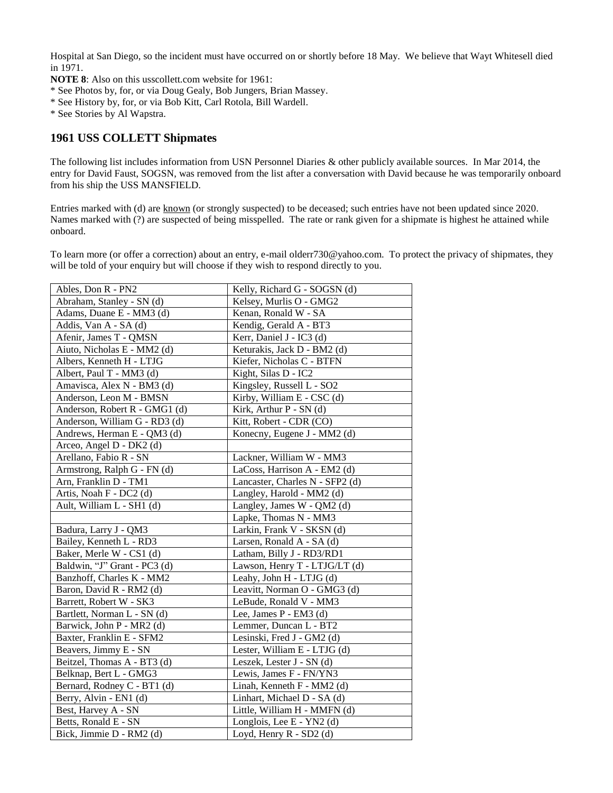Hospital at San Diego, so the incident must have occurred on or shortly before 18 May. We believe that Wayt Whitesell died in 1971.

**NOTE 8**: Also on this usscollett.com website for 1961:

- \* See Photos by, for, or via Doug Gealy, Bob Jungers, Brian Massey.
- \* See History by, for, or via Bob Kitt, Carl Rotola, Bill Wardell.
- \* See Stories by Al Wapstra.

## **1961 USS COLLETT Shipmates**

The following list includes information from USN Personnel Diaries & other publicly available sources. In Mar 2014, the entry for David Faust, SOGSN, was removed from the list after a conversation with David because he was temporarily onboard from his ship the USS MANSFIELD.

Entries marked with (d) are known (or strongly suspected) to be deceased; such entries have not been updated since 2020. Names marked with (?) are suspected of being misspelled. The rate or rank given for a shipmate is highest he attained while onboard.

To learn more (or offer a correction) about an entry, e-mail olderr730@yahoo.com. To protect the privacy of shipmates, they will be told of your enquiry but will choose if they wish to respond directly to you.

| Ables, Don R - PN2            | Kelly, Richard G - SOGSN (d)    |
|-------------------------------|---------------------------------|
| Abraham, Stanley - SN (d)     | Kelsey, Murlis O - GMG2         |
| Adams, Duane E - MM3 (d)      | Kenan, Ronald W - SA            |
| Addis, Van A - SA (d)         | Kendig, Gerald A - BT3          |
| Afenir, James T - QMSN        | Kerr, Daniel J - IC3 (d)        |
| Aiuto, Nicholas E - MM2 (d)   | Keturakis, Jack D - BM2 (d)     |
| Albers, Kenneth H - LTJG      | Kiefer, Nicholas C - BTFN       |
| Albert, Paul T - MM3 (d)      | Kight, Silas D - IC2            |
| Amavisca, Alex N - BM3 (d)    | Kingsley, Russell L - SO2       |
| Anderson, Leon M - BMSN       | Kirby, William E - CSC (d)      |
| Anderson, Robert R - GMG1 (d) | Kirk, Arthur P - SN (d)         |
| Anderson, William G - RD3 (d) | Kitt, Robert - CDR (CO)         |
| Andrews, Herman E - QM3 (d)   | Konecny, Eugene J - MM2 (d)     |
| Arceo, Angel D - DK2 (d)      |                                 |
| Arellano, Fabio R - SN        | Lackner, William W - MM3        |
| Armstrong, Ralph G - FN (d)   | LaCoss, Harrison A - EM2 (d)    |
| Arn, Franklin D - TM1         | Lancaster, Charles N - SFP2 (d) |
| Artis, Noah F - DC2 (d)       | Langley, Harold - MM2 (d)       |
| Ault, William L - SH1 (d)     | Langley, James W - QM2 (d)      |
|                               |                                 |
|                               | Lapke, Thomas N - MM3           |
| Badura, Larry J - QM3         | Larkin, Frank V - SKSN (d)      |
| Bailey, Kenneth L - RD3       | Larsen, Ronald A - SA (d)       |
| Baker, Merle W - CS1 (d)      | Latham, Billy J - RD3/RD1       |
| Baldwin, "J" Grant - PC3 (d)  | Lawson, Henry T - LTJG/LT (d)   |
| Banzhoff, Charles K - MM2     | Leahy, John H - LTJG (d)        |
| Baron, David R - RM2 (d)      | Leavitt, Norman O - GMG3 (d)    |
| Barrett, Robert W - SK3       | LeBude, Ronald V - MM3          |
| Bartlett, Norman L - SN (d)   | Lee, James P - EM3 (d)          |
| Barwick, John P - MR2 (d)     | Lemmer, Duncan L - BT2          |
| Baxter, Franklin E - SFM2     | Lesinski, Fred J - GM2 (d)      |
| Beavers, Jimmy E - SN         | Lester, William E - LTJG (d)    |
| Beitzel, Thomas A - BT3 (d)   | Leszek, Lester J - SN (d)       |
| Belknap, Bert L - GMG3        | Lewis, James F - FN/YN3         |
| Bernard, Rodney C - BT1 (d)   | Linah, Kenneth F - MM2 (d)      |
| Berry, Alvin - EN1 (d)        | Linhart, Michael D - SA (d)     |
| Best, Harvey A - SN           | Little, William H - MMFN (d)    |
| Betts, Ronald E - SN          | Longlois, Lee E - YN2 (d)       |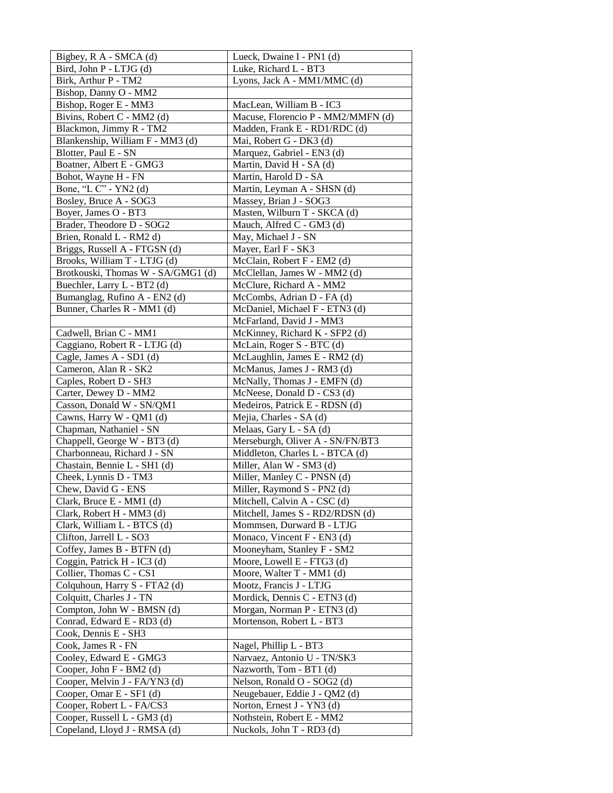| Bigbey, R A - SMCA (d)                     | Lueck, Dwaine I - PN1 (d)          |
|--------------------------------------------|------------------------------------|
| Bird, John P - LTJG (d)                    | Luke, Richard L - BT3              |
| Birk, Arthur P - TM2                       | Lyons, Jack A - MM1/MMC (d)        |
| Bishop, Danny O - MM2                      |                                    |
| Bishop, Roger E - MM3                      | MacLean, William B - IC3           |
| Bivins, Robert C - MM2 (d)                 | Macuse, Florencio P - MM2/MMFN (d) |
| Blackmon, Jimmy R - TM2                    | Madden, Frank E - RD1/RDC (d)      |
| Blankenship, William F - MM3 (d)           | Mai, Robert G - DK3 (d)            |
| Blotter, Paul E - SN                       | Marquez, Gabriel - EN3 (d)         |
| Boatner, Albert E - GMG3                   | Martin, David H - SA (d)           |
| Bohot, Wayne H - FN                        | Martin, Harold D - SA              |
| Bone, "L C" - YN2 (d)                      | Martin, Leyman A - SHSN (d)        |
| Bosley, Bruce A - SOG3                     | Massey, Brian J - SOG3             |
| Boyer, James O - BT3                       | Masten, Wilburn T - SKCA (d)       |
| Brader, Theodore D - SOG2                  | Mauch, Alfred C - GM3 (d)          |
| Brien, Ronald L - RM2 d)                   | May, Michael J - SN                |
| Briggs, Russell A - FTGSN (d)              | Mayer, Earl F - SK3                |
| Brooks, William T - LTJG (d)               | McClain, Robert F - EM2 (d)        |
| Brotkouski, Thomas W - SA/GMG1 (d)         | McClellan, James W - MM2 (d)       |
| Buechler, Larry L - BT2 (d)                | McClure, Richard A - MM2           |
| Bumanglag, Rufino A - EN2 (d)              | McCombs, Adrian D - FA (d)         |
| Bunner, Charles R - MM1 (d)                | McDaniel, Michael F - ETN3 (d)     |
|                                            | McFarland, David J - MM3           |
| Cadwell, Brian C - MM1                     | McKinney, Richard K - SFP2 (d)     |
| Caggiano, Robert R - LTJG (d)              | McLain, Roger S - BTC (d)          |
| Cagle, James A - SD1 (d)                   | McLaughlin, James E - RM2 (d)      |
| Cameron, Alan R - SK2                      | McManus, James J - RM3 (d)         |
| Caples, Robert D - SH3                     | McNally, Thomas J - EMFN (d)       |
| Carter, Dewey D - MM2                      | McNeese, Donald D - CS3 (d)        |
| Casson, Donald W - SN/QM1                  | Medeiros, Patrick E - RDSN (d)     |
| Cawns, Harry W - QM1 (d)                   | Mejia, Charles - SA (d)            |
| Chapman, Nathaniel - SN                    | Melaas, Gary L - SA (d)            |
| Chappell, George W - BT3 (d)               | Merseburgh, Oliver A - SN/FN/BT3   |
| Charbonneau, Richard J - SN                | Middleton, Charles L - BTCA (d)    |
| Chastain, Bennie L - SH1 (d)               | Miller, Alan W - SM3 (d)           |
| Cheek, Lynnis D - TM3                      | Miller, Manley C - PNSN (d)        |
| Chew, David G - ENS                        | Miller, Raymond S - PN2 (d)        |
| Clark, Bruce E - MM1 (d)                   | Mitchell, Calvin A - CSC (d)       |
| Clark, Robert H - MM3 (d)                  | Mitchell, James S - RD2/RDSN (d)   |
| Clark, William L - BTCS (d)                | Mommsen, Durward B - LTJG          |
| Clifton, Jarrell L - SO3                   | Monaco, Vincent F - EN3 (d)        |
| Coffey, James B - BTFN (d)                 | Mooneyham, Stanley F - SM2         |
| Coggin, Patrick H - IC3 (d)                | Moore, Lowell E - FTG3 (d)         |
| Collier, Thomas C - CS1                    | Moore, Walter T - MM1 (d)          |
| Colquhoun, Harry S - FTA2 (d)              | Mootz, Francis J - LTJG            |
| Colquitt, Charles J - TN                   | Mordick, Dennis C - ETN3 (d)       |
| Compton, John W - BMSN (d)                 | Morgan, Norman P - ETN3 (d)        |
| Conrad, Edward E - RD3 (d)                 | Mortenson, Robert L - BT3          |
| Cook, Dennis E - SH3<br>Cook, James R - FN | Nagel, Phillip L - BT3             |
| Cooley, Edward E - GMG3                    | Narvaez, Antonio U - TN/SK3        |
| Cooper, John F - BM2 (d)                   | Nazworth, Tom - BT1 (d)            |
| Cooper, Melvin J - FA/YN3 (d)              | Nelson, Ronald O - SOG2 (d)        |
| Cooper, Omar E - SF1 (d)                   | Neugebauer, Eddie J - QM2 (d)      |
| Cooper, Robert L - FA/CS3                  | Norton, Ernest J - YN3 (d)         |
| Cooper, Russell L - GM3 (d)                | Nothstein, Robert E - MM2          |
| Copeland, Lloyd J - RMSA (d)               | Nuckols, John T - RD3 (d)          |
|                                            |                                    |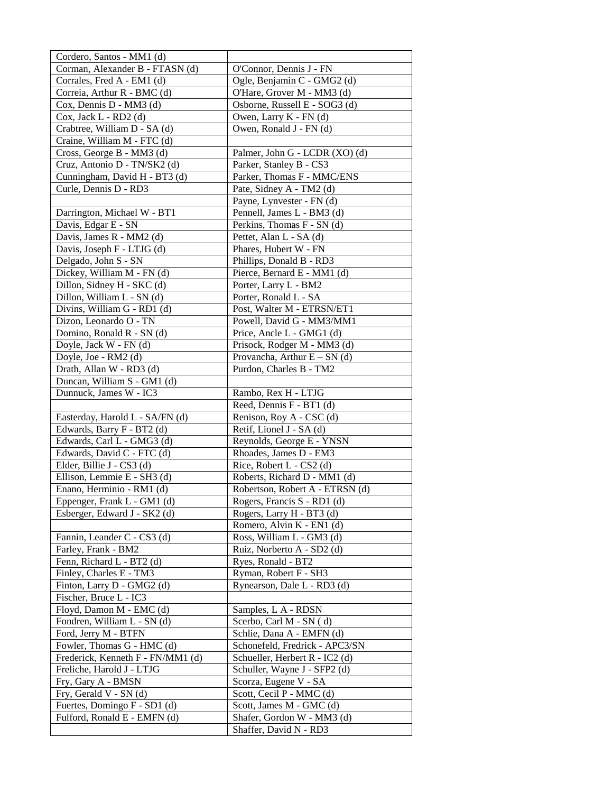| Cordero, Santos - MM1 (d)         |                                 |
|-----------------------------------|---------------------------------|
| Corman, Alexander B - FTASN (d)   | O'Connor, Dennis J - FN         |
| Corrales, Fred A - EM1 (d)        | Ogle, Benjamin C - GMG2 (d)     |
| Correia, Arthur R - BMC (d)       | O'Hare, Grover M - MM3 (d)      |
| Cox, Dennis D - MM3 (d)           | Osborne, Russell E - SOG3 (d)   |
| Cox, Jack L - RD2 (d)             | Owen, Larry K - FN (d)          |
| Crabtree, William D - SA (d)      | Owen, Ronald J - FN (d)         |
| Craine, William M - FTC (d)       |                                 |
| Cross, George B - MM3 (d)         | Palmer, John G - LCDR (XO) (d)  |
| Cruz, Antonio D - TN/SK2 (d)      | Parker, Stanley B - CS3         |
| Cunningham, David H - BT3 (d)     | Parker, Thomas F - MMC/ENS      |
| Curle, Dennis D - RD3             | Pate, Sidney A - TM2 (d)        |
|                                   | Payne, Lynvester - FN (d)       |
| Darrington, Michael W - BT1       | Pennell, James L - BM3 (d)      |
| Davis, Edgar E - SN               | Perkins, Thomas F - SN (d)      |
| Davis, James R - MM2 (d)          | Pettet, Alan L - SA (d)         |
| Davis, Joseph F - LTJG (d)        | Phares, Hubert W - FN           |
| Delgado, John S - SN              | Phillips, Donald B - RD3        |
| Dickey, William M - FN (d)        | Pierce, Bernard E - MM1 (d)     |
| Dillon, Sidney H - SKC (d)        | Porter, Larry L - BM2           |
| Dillon, William L - SN (d)        | Porter, Ronald L - SA           |
| Divins, William G - RD1 (d)       | Post, Walter M - ETRSN/ET1      |
| Dizon, Leonardo O - TN            | Powell, David G - MM3/MM1       |
| Domino, Ronald R - SN (d)         | Price, Ancle L - GMG1 (d)       |
| Doyle, Jack W - FN (d)            | Prisock, Rodger M - MM3 (d)     |
| Doyle, Joe - RM2 (d)              | Provancha, Arthur $E - SN$ (d)  |
| Drath, Allan W - RD3 (d)          | Purdon, Charles B - TM2         |
| Duncan, William S - GM1 (d)       |                                 |
| Dunnuck, James W - IC3            | Rambo, Rex H - LTJG             |
|                                   | Reed, Dennis F - BT1 (d)        |
| Easterday, Harold L - SA/FN (d)   | Renison, Roy A - CSC (d)        |
| Edwards, Barry F - BT2 (d)        | Retif, Lionel J - SA (d)        |
| Edwards, Carl L - GMG3 (d)        | Reynolds, George E - YNSN       |
| Edwards, David C - FTC (d)        | Rhoades, James D - EM3          |
| Elder, Billie J - CS3 (d)         | Rice, Robert L - CS2 (d)        |
| Ellison, Lemmie E - SH3 (d)       | Roberts, Richard D - MM1 (d)    |
| Enano, Herminio - RM1 (d)         | Robertson, Robert A - ETRSN (d) |
| Eppenger, Frank L - GM1 (d)       | Rogers, Francis S - RD1 (d)     |
| Esberger, Edward J - SK2 (d)      | Rogers, Larry H - BT3 (d)       |
|                                   | Romero, Alvin K - EN1 (d)       |
| Fannin, Leander C - CS3 (d)       | Ross, William L - GM3 (d)       |
| Farley, Frank - BM2               | Ruiz, Norberto A - SD2 (d)      |
| Fenn, Richard L - BT2 (d)         | Ryes, Ronald - BT2              |
| Finley, Charles E - TM3           | Ryman, Robert F - SH3           |
| Finton, Larry D - GMG2 (d)        | Rynearson, Dale L - RD3 (d)     |
| Fischer, Bruce L - IC3            |                                 |
| Floyd, Damon M - EMC (d)          | Samples, L A - RDSN             |
| Fondren, William L - SN (d)       | Scerbo, Carl M - SN (d)         |
| Ford, Jerry M - BTFN              | Schlie, Dana A - EMFN (d)       |
| Fowler, Thomas G - HMC (d)        | Schonefeld, Fredrick - APC3/SN  |
| Frederick, Kenneth F - FN/MM1 (d) | Schueller, Herbert R - IC2 (d)  |
| Freliche, Harold J - LTJG         | Schuller, Wayne J - SFP2 (d)    |
| Fry, Gary A - BMSN                | Scorza, Eugene V - SA           |
| Fry, Gerald V - SN (d)            | Scott, Cecil P - MMC (d)        |
| Fuertes, Domingo F - SD1 (d)      | Scott, James M - GMC (d)        |
| Fulford, Ronald E - EMFN (d)      | Shafer, Gordon W - MM3 (d)      |
|                                   | Shaffer, David N - RD3          |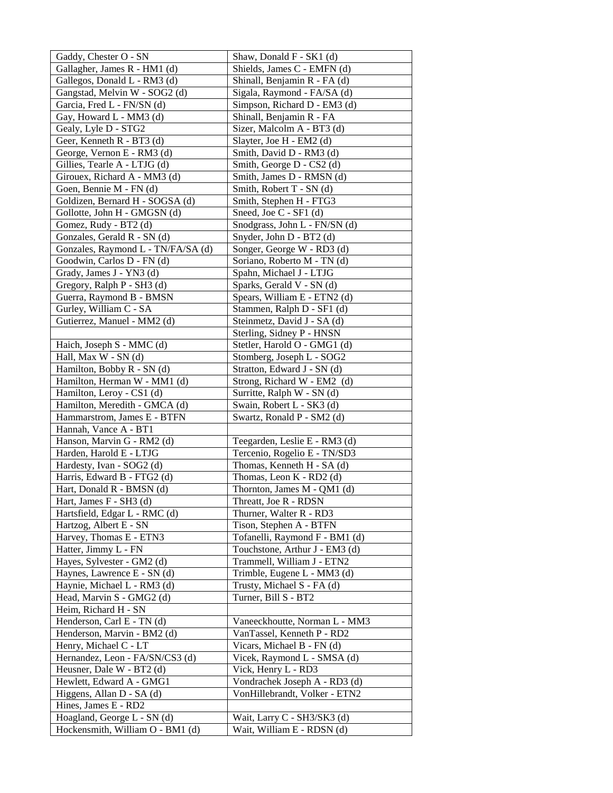| Gaddy, Chester O - SN                             | Shaw, Donald F - SK1 (d)                                  |
|---------------------------------------------------|-----------------------------------------------------------|
| Gallagher, James R - HM1 (d)                      | Shields, James C - EMFN (d)                               |
| Gallegos, Donald L - RM3 (d)                      | Shinall, Benjamin R - FA (d)                              |
| Gangstad, Melvin W - SOG2 (d)                     | Sigala, Raymond - FA/SA (d)                               |
| Garcia, Fred L - FN/SN (d)                        | Simpson, Richard D - EM3 (d)                              |
| Gay, Howard L - MM3 (d)                           | Shinall, Benjamin R - FA                                  |
| Gealy, Lyle D - STG2                              | Sizer, Malcolm A - BT3 (d)                                |
| Geer, Kenneth R - BT3 (d)                         | Slayter, Joe H - EM2 (d)                                  |
| George, Vernon E - RM3 (d)                        | Smith, David D - RM3 (d)                                  |
| Gillies, Tearle A - LTJG (d)                      | Smith, George D - CS2 (d)                                 |
| Girouex, Richard A - MM3 (d)                      | Smith, James D - RMSN (d)                                 |
| Goen, Bennie M - FN (d)                           | Smith, Robert T - SN (d)                                  |
| Goldizen, Bernard H - SOGSA (d)                   | Smith, Stephen H - FTG3                                   |
| Gollotte, John H - GMGSN (d)                      | Sneed, Joe C - SF1 (d)                                    |
| Gomez, Rudy - BT2 (d)                             | Snodgrass, John L - FN/SN (d)                             |
| Gonzales, Gerald R - SN (d)                       | Snyder, John D - BT2 (d)                                  |
| Gonzales, Raymond L - TN/FA/SA (d)                | Songer, George W - RD3 (d)                                |
| Goodwin, Carlos D - FN (d)                        | Soriano, Roberto M - TN (d)                               |
| Grady, James J - YN3 (d)                          | Spahn, Michael J - LTJG                                   |
| Gregory, Ralph P - SH3 (d)                        | Sparks, Gerald V - SN (d)                                 |
| Guerra, Raymond B - BMSN                          | Spears, William E - ETN2 (d)                              |
| Gurley, William C - SA                            | Stammen, Ralph D - SF1 (d)                                |
| Gutierrez, Manuel - MM2 (d)                       | Steinmetz, David J - SA (d)                               |
|                                                   | Sterling, Sidney P - HNSN                                 |
| Haich, Joseph S - MMC (d)                         | Stetler, Harold O - GMG1 (d)                              |
| Hall, Max W - SN (d)                              | Stomberg, Joseph L - SOG2                                 |
| Hamilton, Bobby R - SN (d)                        | Stratton, Edward J - SN (d)                               |
| Hamilton, Herman W - MM1 (d)                      | Strong, Richard W - EM2 (d)                               |
| Hamilton, Leroy - CS1 (d)                         | Surritte, Ralph W - SN (d)                                |
| Hamilton, Meredith - GMCA (d)                     | Swain, Robert L - SK3 (d)                                 |
| Hammarstrom, James E - BTFN                       | Swartz, Ronald P - SM2 (d)                                |
| Hannah, Vance A - BT1                             |                                                           |
| Hanson, Marvin G - RM2 (d)                        | Teegarden, Leslie E - RM3 (d)                             |
| Harden, Harold E - LTJG                           | Tercenio, Rogelio E - TN/SD3                              |
| Hardesty, Ivan - SOG2 (d)                         | Thomas, Kenneth H - SA (d)                                |
| Harris, Edward B - FTG2 (d)                       | Thomas, Leon K - RD2 (d)                                  |
| Hart, Donald R - BMSN (d)                         | Thornton, James M - QM1 (d)                               |
| Hart, James F - SH3 (d)                           | Threatt, Joe R - RDSN                                     |
| Hartsfield, Edgar L - RMC (d)                     | Thurner, Walter R - RD3                                   |
| Hartzog, Albert E - SN<br>Harvey, Thomas E - ETN3 | Tison, Stephen A - BTFN<br>Tofanelli, Raymond F - BM1 (d) |
| Hatter, Jimmy L - FN                              | Touchstone, Arthur J - EM3 (d)                            |
| Hayes, Sylvester - GM2 (d)                        | Trammell, William J - ETN2                                |
| Haynes, Lawrence E - SN (d)                       | Trimble, Eugene L - MM3 (d)                               |
| Haynie, Michael L - RM3 (d)                       | Trusty, Michael S - FA (d)                                |
| Head, Marvin S - GMG2 (d)                         | Turner, Bill S - BT2                                      |
| Heim, Richard H - SN                              |                                                           |
| Henderson, Carl E - TN (d)                        | Vaneeckhoutte, Norman L - MM3                             |
| Henderson, Marvin - BM2 (d)                       | VanTassel, Kenneth P - RD2                                |
| Henry, Michael C - LT                             | Vicars, Michael B - FN (d)                                |
| Hernandez, Leon - FA/SN/CS3 (d)                   | Vicek, Raymond L - SMSA (d)                               |
| Heusner, Dale W - BT2 (d)                         | Vick, Henry L - RD3                                       |
| Hewlett, Edward A - GMG1                          | Vondrachek Joseph A - RD3 (d)                             |
| Higgens, Allan D - SA (d)                         | VonHillebrandt, Volker - ETN2                             |
| Hines, James E - RD2                              |                                                           |
| Hoagland, George L - SN (d)                       | Wait, Larry C - SH3/SK3 (d)                               |
| Hockensmith, William O - BM1 (d)                  | Wait, William E - RDSN (d)                                |